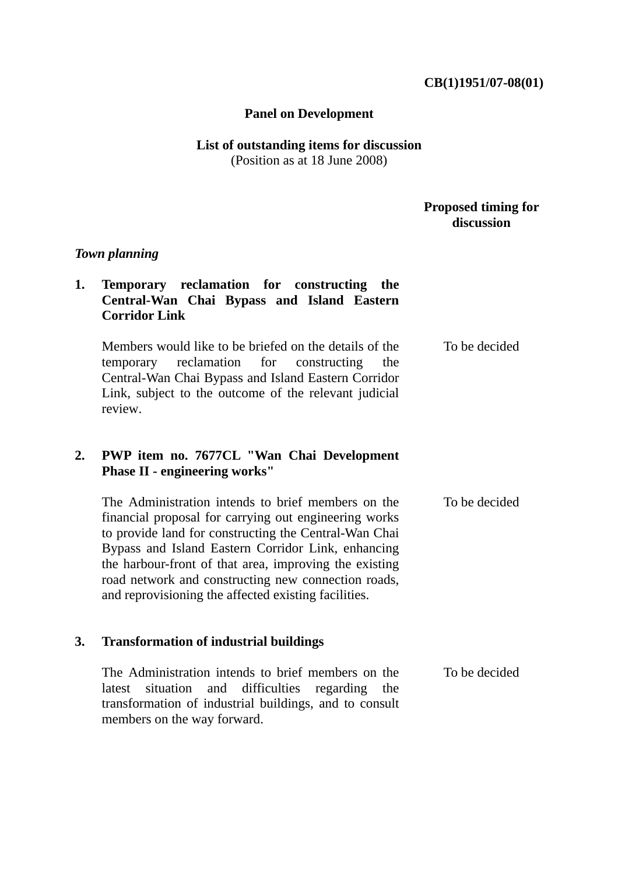#### **CB(1)1951/07-08(01)**

#### **Panel on Development**

## **List of outstanding items for discussion**  (Position as at 18 June 2008)

## **Proposed timing for discussion**

## *Town planning*

## **1. Temporary reclamation for constructing the Central-Wan Chai Bypass and Island Eastern Corridor Link**

Members would like to be briefed on the details of the temporary reclamation for constructing the Central-Wan Chai Bypass and Island Eastern Corridor Link, subject to the outcome of the relevant judicial review. To be decided

# **2. PWP item no. 7677CL "Wan Chai Development Phase II - engineering works"**

| The Administration intends to brief members on the     | To be decided |
|--------------------------------------------------------|---------------|
| financial proposal for carrying out engineering works  |               |
| to provide land for constructing the Central-Wan Chai  |               |
| Bypass and Island Eastern Corridor Link, enhancing     |               |
| the harbour-front of that area, improving the existing |               |
| road network and constructing new connection roads,    |               |
| and reprovisioning the affected existing facilities.   |               |

#### **3. Transformation of industrial buildings**

The Administration intends to brief members on the latest situation and difficulties regarding the transformation of industrial buildings, and to consult members on the way forward. To be decided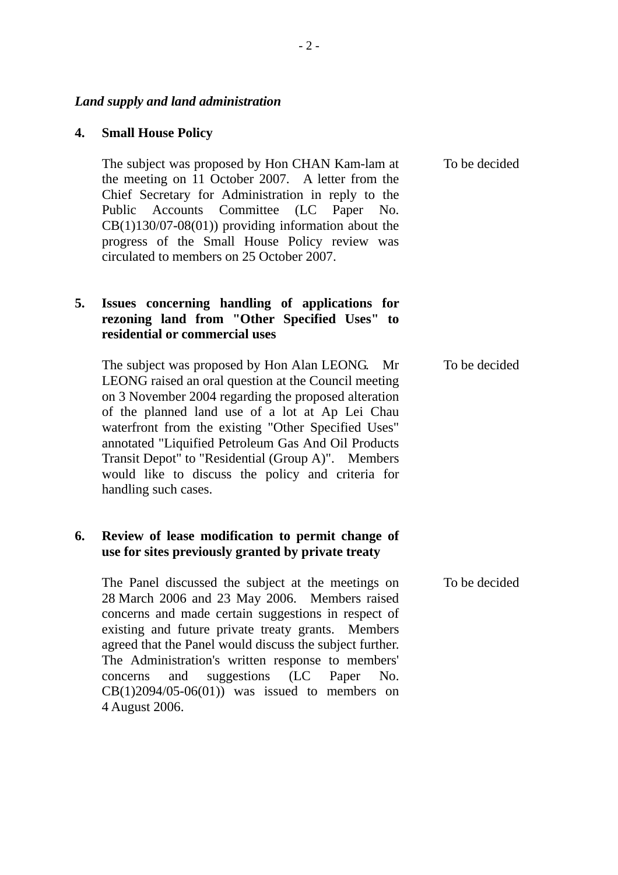#### *Land supply and land administration*

### **4. Small House Policy**

The subject was proposed by Hon CHAN Kam-lam at the meeting on 11 October 2007. A letter from the Chief Secretary for Administration in reply to the Public Accounts Committee (LC Paper No. CB(1)130/07-08(01)) providing information about the progress of the Small House Policy review was circulated to members on 25 October 2007.

## **5. Issues concerning handling of applications for rezoning land from "Other Specified Uses" to residential or commercial uses**

The subject was proposed by Hon Alan LEONG. Mr LEONG raised an oral question at the Council meeting on 3 November 2004 regarding the proposed alteration of the planned land use of a lot at Ap Lei Chau waterfront from the existing "Other Specified Uses" annotated "Liquified Petroleum Gas And Oil Products Transit Depot" to "Residential (Group A)". Members would like to discuss the policy and criteria for handling such cases.

## **6. Review of lease modification to permit change of use for sites previously granted by private treaty**

The Panel discussed the subject at the meetings on 28 March 2006 and 23 May 2006. Members raised concerns and made certain suggestions in respect of existing and future private treaty grants. Members agreed that the Panel would discuss the subject further. The Administration's written response to members' concerns and suggestions (LC Paper No.  $CB(1)2094/05-06(01)$  was issued to members on 4 August 2006.

To be decided

To be decided

To be decided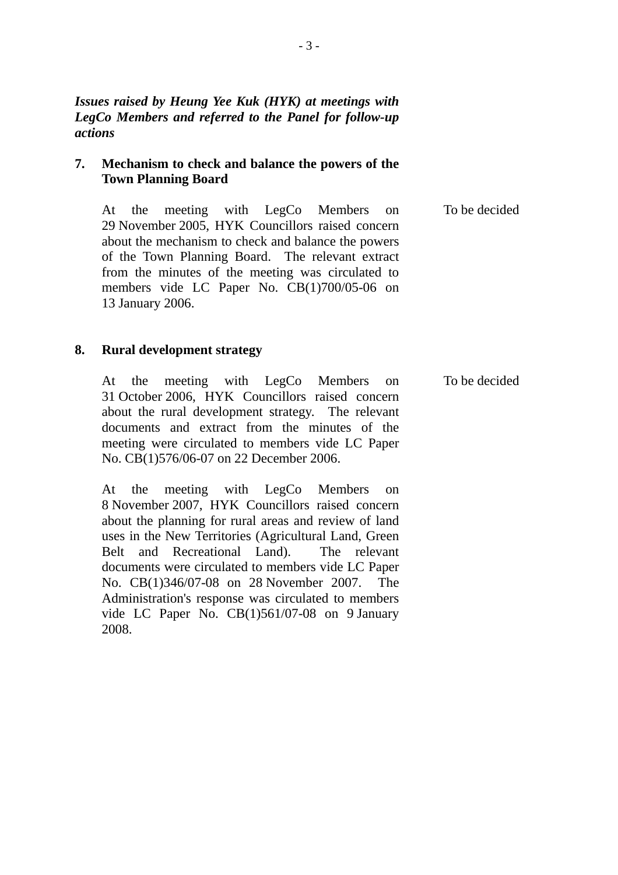*Issues raised by Heung Yee Kuk (HYK) at meetings with LegCo Members and referred to the Panel for follow-up actions* 

## **7. Mechanism to check and balance the powers of the Town Planning Board**

At the meeting with LegCo Members on 29 November 2005, HYK Councillors raised concern about the mechanism to check and balance the powers of the Town Planning Board. The relevant extract from the minutes of the meeting was circulated to members vide LC Paper No. CB(1)700/05-06 on 13 January 2006. To be decided

#### **8. Rural development strategy**

At the meeting with LegCo Members on 31 October 2006, HYK Councillors raised concern about the rural development strategy. The relevant documents and extract from the minutes of the meeting were circulated to members vide LC Paper No. CB(1)576/06-07 on 22 December 2006.

At the meeting with LegCo Members on 8 November 2007, HYK Councillors raised concern about the planning for rural areas and review of land uses in the New Territories (Agricultural Land, Green Belt and Recreational Land). The relevant documents were circulated to members vide LC Paper No. CB(1)346/07-08 on 28 November 2007. The Administration's response was circulated to members vide LC Paper No. CB(1)561/07-08 on 9 January 2008.

To be decided